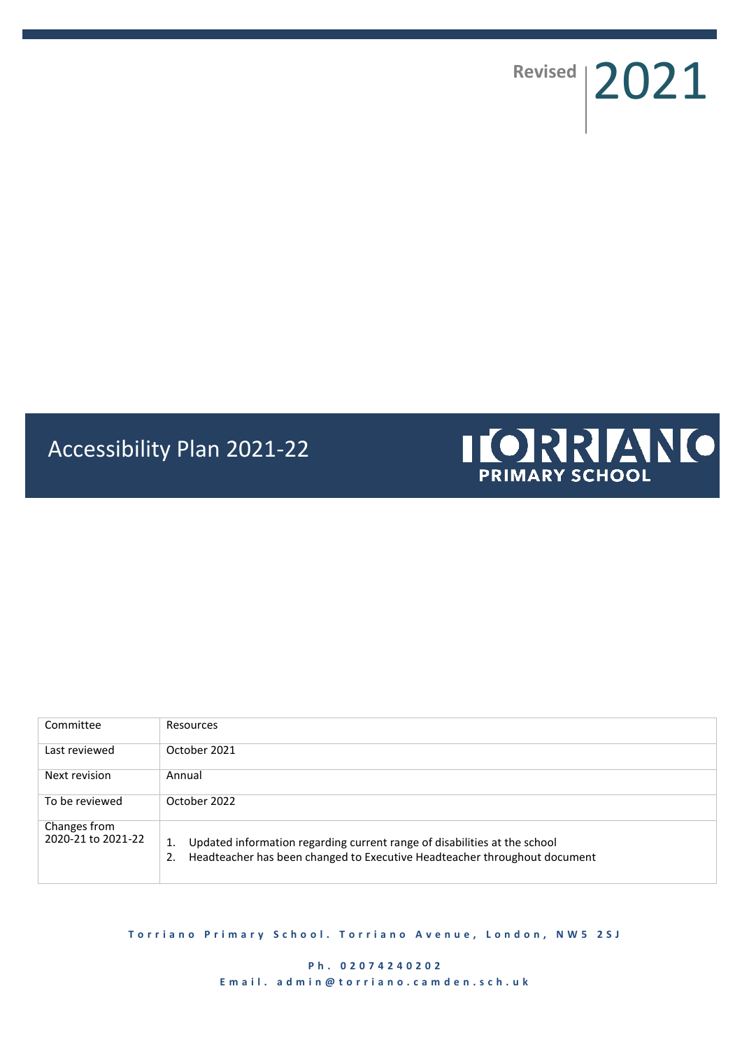Revised 2021

# Accessibility Plan 2021-22



| Committee                          | Resources                                                                                                                                                          |
|------------------------------------|--------------------------------------------------------------------------------------------------------------------------------------------------------------------|
| Last reviewed                      | October 2021                                                                                                                                                       |
| Next revision                      | Annual                                                                                                                                                             |
| To be reviewed                     | October 2022                                                                                                                                                       |
| Changes from<br>2020-21 to 2021-22 | Updated information regarding current range of disabilities at the school<br>1.<br>Headteacher has been changed to Executive Headteacher throughout document<br>2. |

**Torriano Primary School. Torriano Avenue, London, NW5 2SJ** 

**P h . 0 2 0 7 4 2 4 0 2 0 2** E m a i l. a d m i n @ t o r r i a n o . c a m d e n . s c h . u k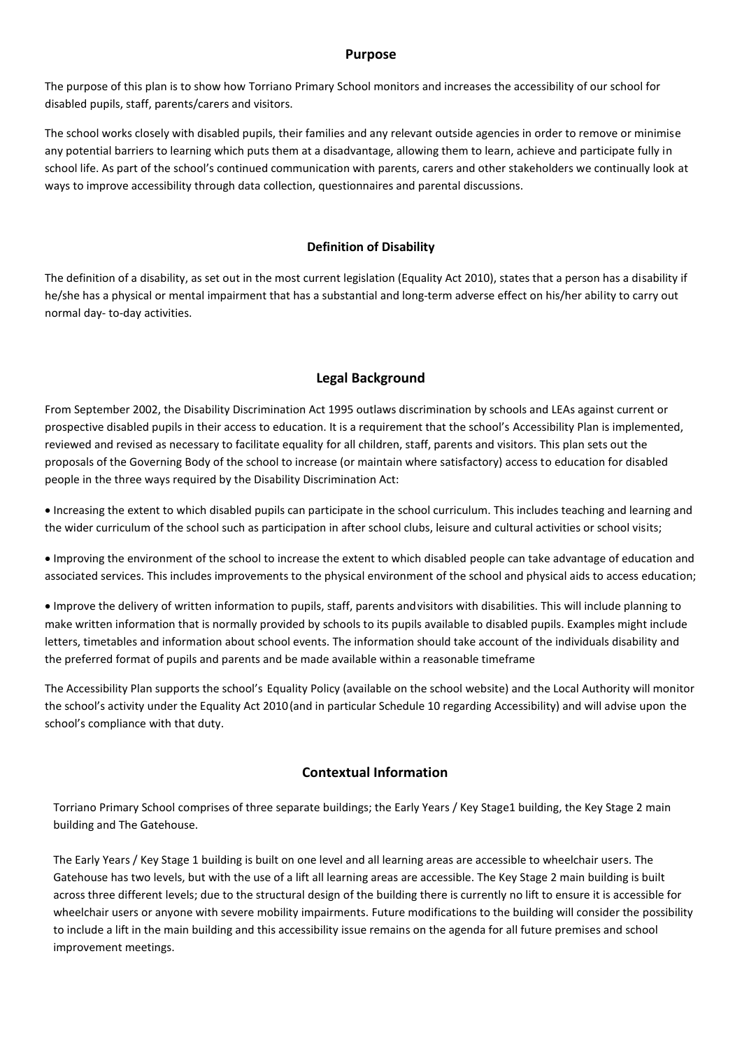## **Purpose**

The purpose of this plan is to show how Torriano Primary School monitors and increases the accessibility of our school for disabled pupils, staff, parents/carers and visitors.

The school works closely with disabled pupils, their families and any relevant outside agencies in order to remove or minimise any potential barriers to learning which puts them at a disadvantage, allowing them to learn, achieve and participate fully in school life. As part of the school's continued communication with parents, carers and other stakeholders we continually look at ways to improve accessibility through data collection, questionnaires and parental discussions.

## **Definition of Disability**

The definition of a disability, as set out in the most current legislation (Equality Act 2010), states that a person has a disability if he/she has a physical or mental impairment that has a substantial and long-term adverse effect on his/her ability to carry out normal day‐ to‐day activities.

## **Legal Background**

From September 2002, the Disability Discrimination Act 1995 outlaws discrimination by schools and LEAs against current or prospective disabled pupils in their access to education. It is a requirement that the school's Accessibility Plan is implemented, reviewed and revised as necessary to facilitate equality for all children, staff, parents and visitors. This plan sets out the proposals of the Governing Body of the school to increase (or maintain where satisfactory) access to education for disabled people in the three ways required by the Disability Discrimination Act:

 Increasing the extent to which disabled pupils can participate in the school curriculum. This includes teaching and learning and the wider curriculum of the school such as participation in after school clubs, leisure and cultural activities or school visits;

 Improving the environment of the school to increase the extent to which disabled people can take advantage of education and associated services. This includes improvements to the physical environment of the school and physical aids to access education;

 Improve the delivery of written information to pupils, staff, parents andvisitors with disabilities. This will include planning to make written information that is normally provided by schools to its pupils available to disabled pupils. Examples might include letters, timetables and information about school events. The information should take account of the individuals disability and the preferred format of pupils and parents and be made available within a reasonable timeframe

The Accessibility Plan supports the school's Equality Policy (available on the school website) and the Local Authority will monitor the school's activity under the Equality Act 2010(and in particular Schedule 10 regarding Accessibility) and will advise upon the school's compliance with that duty.

## **Contextual Information**

Torriano Primary School comprises of three separate buildings; the Early Years / Key Stage1 building, the Key Stage 2 main building and The Gatehouse.

The Early Years / Key Stage 1 building is built on one level and all learning areas are accessible to wheelchair users. The Gatehouse has two levels, but with the use of a lift all learning areas are accessible. The Key Stage 2 main building is built across three different levels; due to the structural design of the building there is currently no lift to ensure it is accessible for wheelchair users or anyone with severe mobility impairments. Future modifications to the building will consider the possibility to include a lift in the main building and this accessibility issue remains on the agenda for all future premises and school improvement meetings.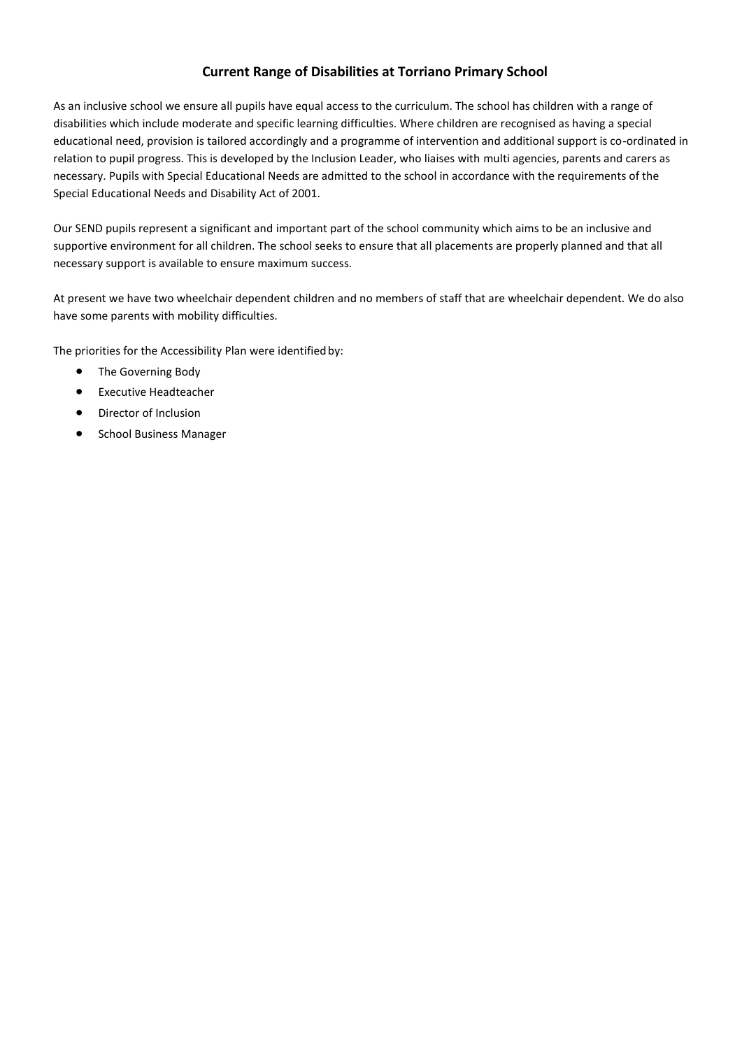## **Current Range of Disabilities at Torriano Primary School**

As an inclusive school we ensure all pupils have equal access to the curriculum. The school has children with a range of disabilities which include moderate and specific learning difficulties. Where children are recognised as having a special educational need, provision is tailored accordingly and a programme of intervention and additional support is co-ordinated in relation to pupil progress. This is developed by the Inclusion Leader, who liaises with multi agencies, parents and carers as necessary. Pupils with Special Educational Needs are admitted to the school in accordance with the requirements of the Special Educational Needs and Disability Act of 2001.

Our SEND pupils represent a significant and important part of the school community which aims to be an inclusive and supportive environment for all children. The school seeks to ensure that all placements are properly planned and that all necessary support is available to ensure maximum success.

At present we have two wheelchair dependent children and no members of staff that are wheelchair dependent. We do also have some parents with mobility difficulties.

The priorities for the Accessibility Plan were identified by:

- The Governing Body
- **•** Executive Headteacher
- Director of Inclusion
- **•** School Business Manager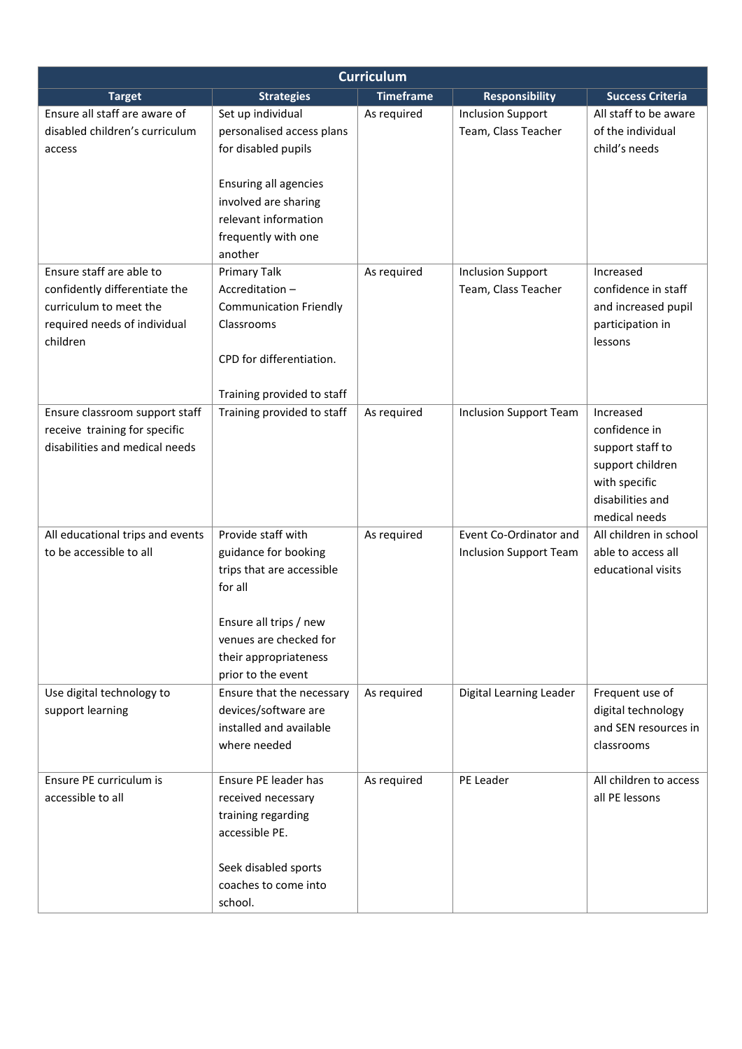| <b>Curriculum</b>                                                                                                               |                                                                                                                                                                                       |                  |                                                         |                                                                                                                          |
|---------------------------------------------------------------------------------------------------------------------------------|---------------------------------------------------------------------------------------------------------------------------------------------------------------------------------------|------------------|---------------------------------------------------------|--------------------------------------------------------------------------------------------------------------------------|
| <b>Target</b>                                                                                                                   | <b>Strategies</b>                                                                                                                                                                     | <b>Timeframe</b> | <b>Responsibility</b>                                   | <b>Success Criteria</b>                                                                                                  |
| Ensure all staff are aware of<br>disabled children's curriculum<br>access                                                       | Set up individual<br>personalised access plans<br>for disabled pupils<br>Ensuring all agencies<br>involved are sharing<br>relevant information<br>frequently with one<br>another      | As required      | <b>Inclusion Support</b><br>Team, Class Teacher         | All staff to be aware<br>of the individual<br>child's needs                                                              |
| Ensure staff are able to<br>confidently differentiate the<br>curriculum to meet the<br>required needs of individual<br>children | Primary Talk<br>Accreditation-<br><b>Communication Friendly</b><br>Classrooms<br>CPD for differentiation.<br>Training provided to staff                                               | As required      | <b>Inclusion Support</b><br>Team, Class Teacher         | Increased<br>confidence in staff<br>and increased pupil<br>participation in<br>lessons                                   |
| Ensure classroom support staff<br>receive training for specific<br>disabilities and medical needs                               | Training provided to staff                                                                                                                                                            | As required      | <b>Inclusion Support Team</b>                           | Increased<br>confidence in<br>support staff to<br>support children<br>with specific<br>disabilities and<br>medical needs |
| All educational trips and events<br>to be accessible to all                                                                     | Provide staff with<br>guidance for booking<br>trips that are accessible<br>for all<br>Ensure all trips / new<br>venues are checked for<br>their appropriateness<br>prior to the event | As required      | Event Co-Ordinator and<br><b>Inclusion Support Team</b> | All children in school<br>able to access all<br>educational visits                                                       |
| Use digital technology to<br>support learning                                                                                   | Ensure that the necessary<br>devices/software are<br>installed and available<br>where needed                                                                                          | As required      | Digital Learning Leader                                 | Frequent use of<br>digital technology<br>and SEN resources in<br>classrooms                                              |
| Ensure PE curriculum is<br>accessible to all                                                                                    | Ensure PE leader has<br>received necessary<br>training regarding<br>accessible PE.<br>Seek disabled sports<br>coaches to come into<br>school.                                         | As required      | PE Leader                                               | All children to access<br>all PE lessons                                                                                 |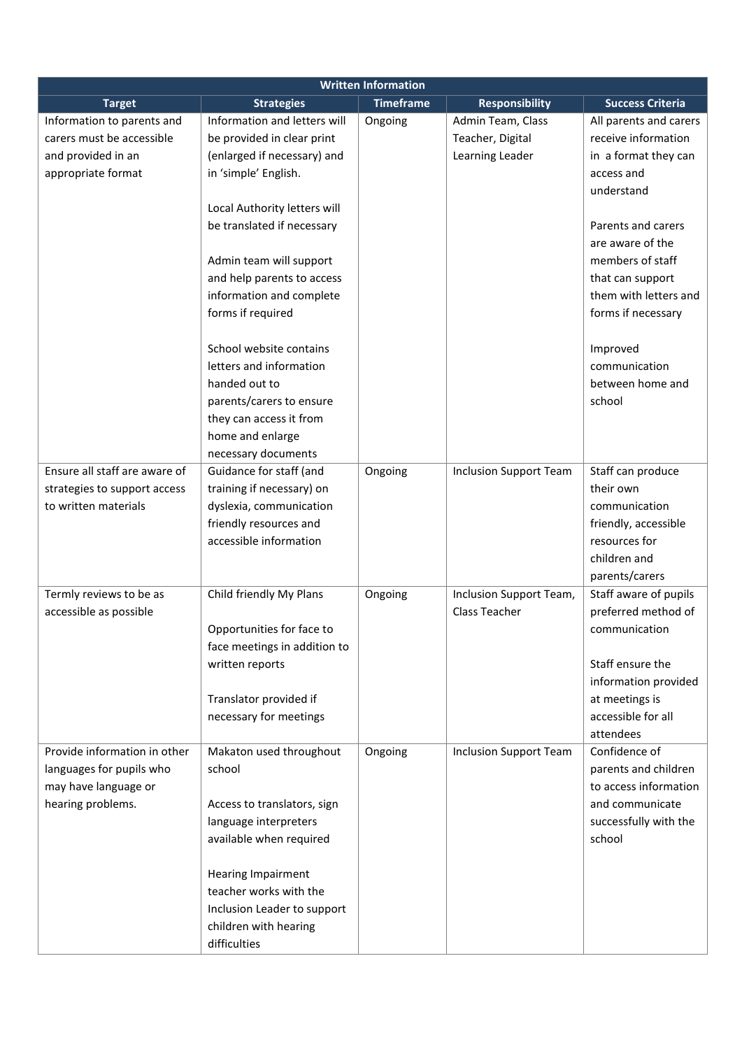| <b>Written Information</b>    |                              |                  |                               |                         |
|-------------------------------|------------------------------|------------------|-------------------------------|-------------------------|
| <b>Target</b>                 | <b>Strategies</b>            | <b>Timeframe</b> | <b>Responsibility</b>         | <b>Success Criteria</b> |
| Information to parents and    | Information and letters will | Ongoing          | Admin Team, Class             | All parents and carers  |
| carers must be accessible     | be provided in clear print   |                  | Teacher, Digital              | receive information     |
| and provided in an            | (enlarged if necessary) and  |                  | Learning Leader               | in a format they can    |
| appropriate format            | in 'simple' English.         |                  |                               | access and              |
|                               |                              |                  |                               | understand              |
|                               | Local Authority letters will |                  |                               |                         |
|                               | be translated if necessary   |                  |                               | Parents and carers      |
|                               |                              |                  |                               | are aware of the        |
|                               | Admin team will support      |                  |                               | members of staff        |
|                               | and help parents to access   |                  |                               | that can support        |
|                               | information and complete     |                  |                               | them with letters and   |
|                               | forms if required            |                  |                               | forms if necessary      |
|                               |                              |                  |                               |                         |
|                               | School website contains      |                  |                               | Improved                |
|                               | letters and information      |                  |                               | communication           |
|                               | handed out to                |                  |                               | between home and        |
|                               | parents/carers to ensure     |                  |                               | school                  |
|                               | they can access it from      |                  |                               |                         |
|                               | home and enlarge             |                  |                               |                         |
|                               | necessary documents          |                  |                               |                         |
| Ensure all staff are aware of | Guidance for staff (and      | Ongoing          | <b>Inclusion Support Team</b> | Staff can produce       |
| strategies to support access  | training if necessary) on    |                  |                               | their own               |
| to written materials          | dyslexia, communication      |                  |                               | communication           |
|                               | friendly resources and       |                  |                               | friendly, accessible    |
|                               | accessible information       |                  |                               | resources for           |
|                               |                              |                  |                               | children and            |
|                               |                              |                  |                               | parents/carers          |
| Termly reviews to be as       | Child friendly My Plans      | Ongoing          | Inclusion Support Team,       | Staff aware of pupils   |
| accessible as possible        |                              |                  | Class Teacher                 | preferred method of     |
|                               | Opportunities for face to    |                  |                               | communication           |
|                               | face meetings in addition to |                  |                               |                         |
|                               | written reports              |                  |                               | Staff ensure the        |
|                               |                              |                  |                               | information provided    |
|                               | Translator provided if       |                  |                               | at meetings is          |
|                               | necessary for meetings       |                  |                               | accessible for all      |
|                               |                              |                  |                               | attendees               |
| Provide information in other  | Makaton used throughout      | Ongoing          | <b>Inclusion Support Team</b> | Confidence of           |
| languages for pupils who      | school                       |                  |                               | parents and children    |
| may have language or          |                              |                  |                               | to access information   |
| hearing problems.             | Access to translators, sign  |                  |                               | and communicate         |
|                               | language interpreters        |                  |                               | successfully with the   |
|                               | available when required      |                  |                               | school                  |
|                               |                              |                  |                               |                         |
|                               | <b>Hearing Impairment</b>    |                  |                               |                         |
|                               | teacher works with the       |                  |                               |                         |
|                               | Inclusion Leader to support  |                  |                               |                         |
|                               |                              |                  |                               |                         |
|                               | children with hearing        |                  |                               |                         |
|                               | difficulties                 |                  |                               |                         |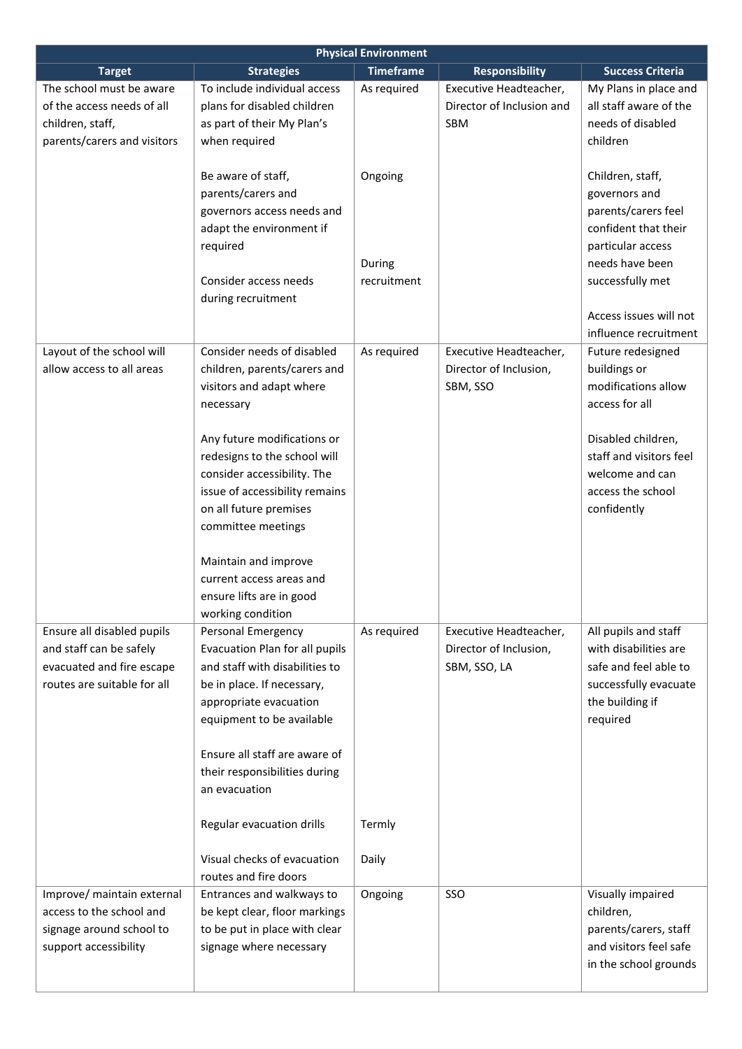| <b>Physical Environment</b>                              |                                                  |                  |                           |                                                 |
|----------------------------------------------------------|--------------------------------------------------|------------------|---------------------------|-------------------------------------------------|
| <b>Target</b>                                            | <b>Strategies</b>                                | <b>Timeframe</b> | <b>Responsibility</b>     | <b>Success Criteria</b>                         |
| The school must be aware                                 | To include individual access                     | As required      | Executive Headteacher,    | My Plans in place and                           |
| of the access needs of all                               | plans for disabled children                      |                  | Director of Inclusion and | all staff aware of the                          |
| children, staff,                                         | as part of their My Plan's                       |                  | <b>SBM</b>                | needs of disabled                               |
| parents/carers and visitors                              | when required                                    |                  |                           | children                                        |
|                                                          | Be aware of staff,                               | Ongoing          |                           | Children, staff,                                |
|                                                          | parents/carers and                               |                  |                           | governors and                                   |
|                                                          | governors access needs and                       |                  |                           | parents/carers feel                             |
|                                                          | adapt the environment if                         |                  |                           | confident that their                            |
|                                                          | required                                         |                  |                           | particular access                               |
|                                                          |                                                  | During           |                           | needs have been                                 |
|                                                          | Consider access needs                            | recruitment      |                           |                                                 |
|                                                          |                                                  |                  |                           | successfully met                                |
|                                                          | during recruitment                               |                  |                           |                                                 |
|                                                          |                                                  |                  |                           | Access issues will not<br>influence recruitment |
|                                                          |                                                  |                  |                           |                                                 |
| Layout of the school will                                | Consider needs of disabled                       | As required      | Executive Headteacher,    | Future redesigned                               |
| allow access to all areas                                | children, parents/carers and                     |                  | Director of Inclusion,    | buildings or                                    |
|                                                          | visitors and adapt where                         |                  | SBM, SSO                  | modifications allow                             |
|                                                          | necessary                                        |                  |                           | access for all                                  |
|                                                          |                                                  |                  |                           |                                                 |
|                                                          | Any future modifications or                      |                  |                           | Disabled children,                              |
|                                                          | redesigns to the school will                     |                  |                           | staff and visitors feel                         |
|                                                          | consider accessibility. The                      |                  |                           | welcome and can                                 |
|                                                          | issue of accessibility remains                   |                  |                           | access the school                               |
|                                                          | on all future premises                           |                  |                           | confidently                                     |
|                                                          | committee meetings                               |                  |                           |                                                 |
|                                                          |                                                  |                  |                           |                                                 |
|                                                          | Maintain and improve<br>current access areas and |                  |                           |                                                 |
|                                                          | ensure lifts are in good                         |                  |                           |                                                 |
|                                                          |                                                  |                  |                           |                                                 |
|                                                          | working condition<br>Personal Emergency          | As required      | Executive Headteacher,    |                                                 |
| Ensure all disabled pupils<br>and staff can be safely    | Evacuation Plan for all pupils                   |                  | Director of Inclusion,    | All pupils and staff<br>with disabilities are   |
|                                                          | and staff with disabilities to                   |                  | SBM, SSO, LA              | safe and feel able to                           |
| evacuated and fire escape<br>routes are suitable for all |                                                  |                  |                           |                                                 |
|                                                          | be in place. If necessary,                       |                  |                           | successfully evacuate                           |
|                                                          | appropriate evacuation                           |                  |                           | the building if                                 |
|                                                          | equipment to be available                        |                  |                           | required                                        |
|                                                          | Ensure all staff are aware of                    |                  |                           |                                                 |
|                                                          | their responsibilities during                    |                  |                           |                                                 |
|                                                          | an evacuation                                    |                  |                           |                                                 |
|                                                          |                                                  |                  |                           |                                                 |
|                                                          | Regular evacuation drills                        | Termly           |                           |                                                 |
|                                                          | Visual checks of evacuation                      | Daily            |                           |                                                 |
|                                                          | routes and fire doors                            |                  |                           |                                                 |
| Improve/ maintain external                               | Entrances and walkways to                        | Ongoing          | SSO                       | Visually impaired                               |
| access to the school and                                 | be kept clear, floor markings                    |                  |                           | children,                                       |
| signage around school to                                 | to be put in place with clear                    |                  |                           | parents/carers, staff                           |
| support accessibility                                    | signage where necessary                          |                  |                           | and visitors feel safe                          |
|                                                          |                                                  |                  |                           | in the school grounds                           |
|                                                          |                                                  |                  |                           |                                                 |